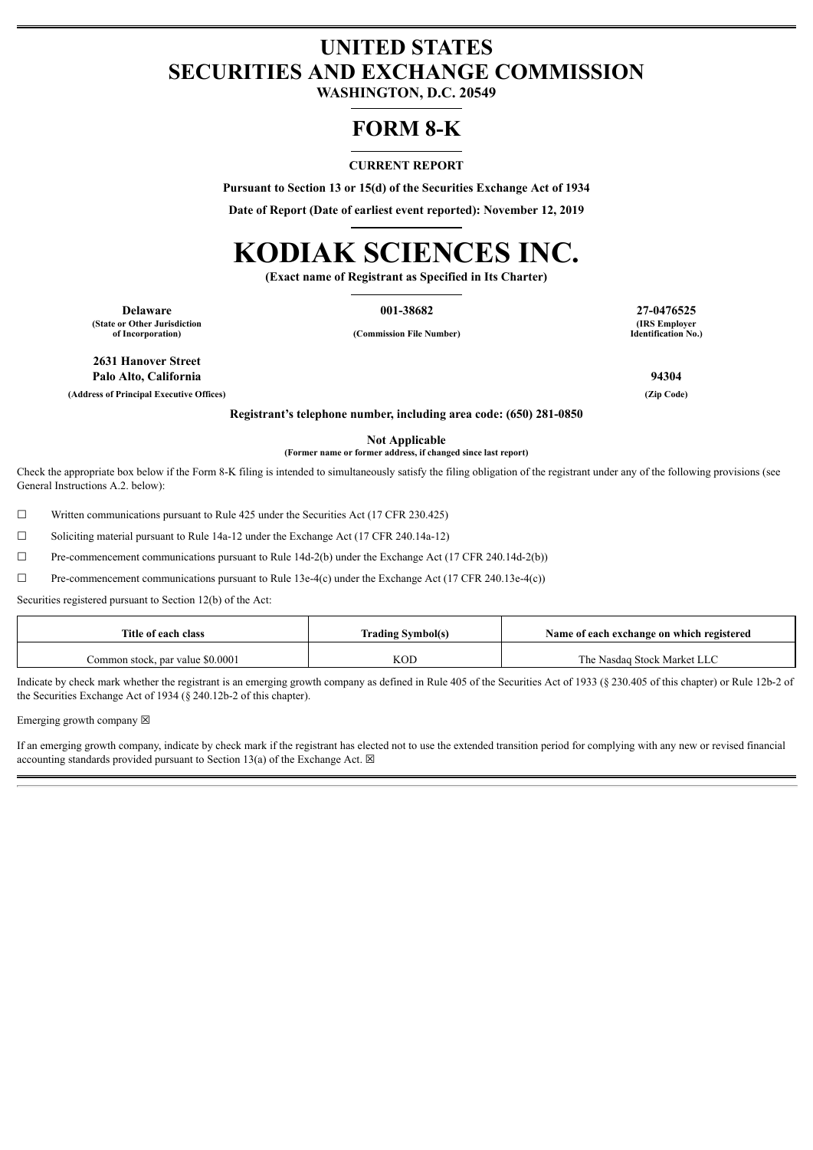# **UNITED STATES SECURITIES AND EXCHANGE COMMISSION**

**WASHINGTON, D.C. 20549**

# **FORM 8-K**

## **CURRENT REPORT**

**Pursuant to Section 13 or 15(d) of the Securities Exchange Act of 1934**

**Date of Report (Date of earliest event reported): November 12, 2019**

# **KODIAK SCIENCES INC.**

**(Exact name of Registrant as Specified in Its Charter)**

**Delaware 001-38682 27-0476525 (State or Other Jurisdiction**

**of Incorporation) (Commission File Number)**

**(IRS Employer Identification No.)**

**2631 Hanover Street Palo Alto, California 94304**

**(Address of Principal Executive Offices) (Zip Code)**

**Registrant's telephone number, including area code: (650) 281-0850**

**Not Applicable (Former name or former address, if changed since last report)**

Check the appropriate box below if the Form 8-K filing is intended to simultaneously satisfy the filing obligation of the registrant under any of the following provisions (see General Instructions A.2. below):

☐ Written communications pursuant to Rule 425 under the Securities Act (17 CFR 230.425)

☐ Soliciting material pursuant to Rule 14a-12 under the Exchange Act (17 CFR 240.14a-12)

☐ Pre-commencement communications pursuant to Rule 14d-2(b) under the Exchange Act (17 CFR 240.14d-2(b))

 $\Box$  Pre-commencement communications pursuant to Rule 13e-4(c) under the Exchange Act (17 CFR 240.13e-4(c))

Securities registered pursuant to Section 12(b) of the Act:

| Title of each class              | <b>Trading Symbol(s)</b> | Name of each exchange on which registered |
|----------------------------------|--------------------------|-------------------------------------------|
| Common stock, par value \$0.0001 | KOD                      | The Nasdag Stock Market LLC               |

Indicate by check mark whether the registrant is an emerging growth company as defined in Rule 405 of the Securities Act of 1933 (§ 230.405 of this chapter) or Rule 12b-2 of the Securities Exchange Act of 1934 (§ 240.12b-2 of this chapter).

Emerging growth company  $\boxtimes$ 

If an emerging growth company, indicate by check mark if the registrant has elected not to use the extended transition period for complying with any new or revised financial accounting standards provided pursuant to Section 13(a) of the Exchange Act.  $\boxtimes$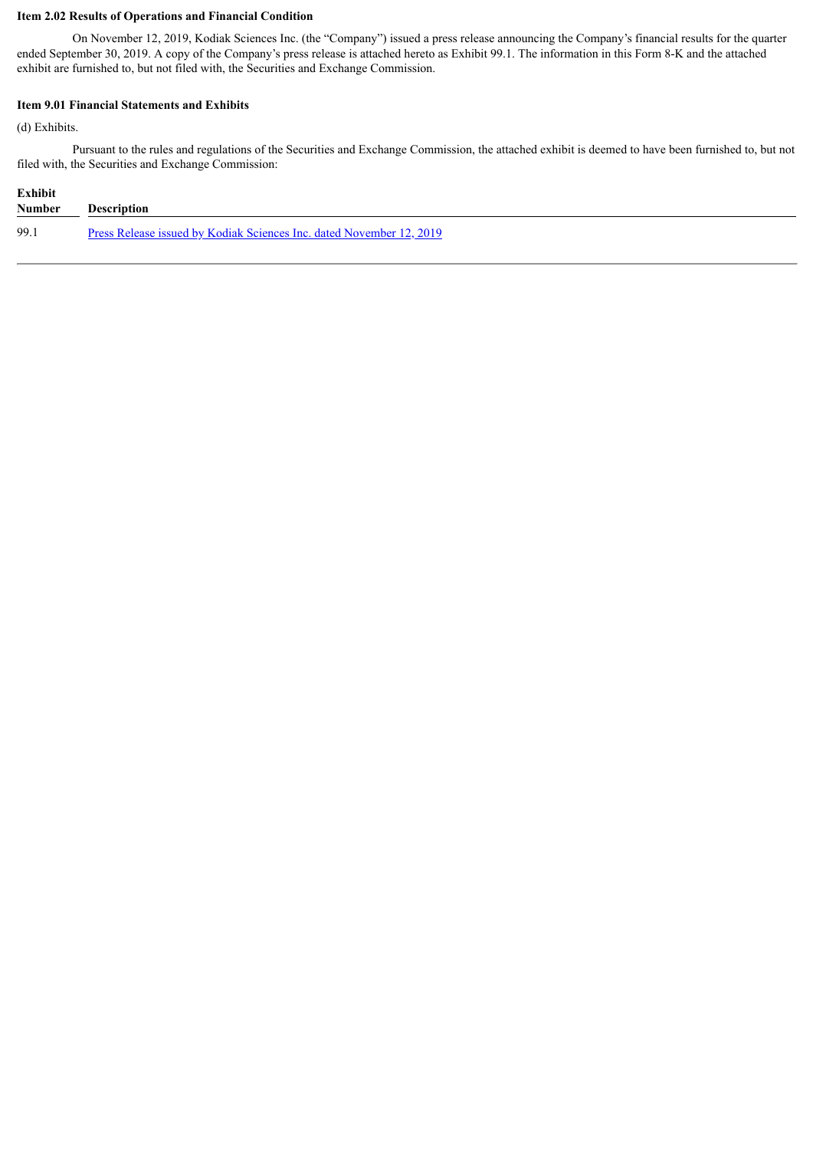# **Item 2.02 Results of Operations and Financial Condition**

On November 12, 2019, Kodiak Sciences Inc. (the "Company") issued a press release announcing the Company's financial results for the quarter ended September 30, 2019. A copy of the Company's press release is attached hereto as Exhibit 99.1. The information in this Form 8-K and the attached exhibit are furnished to, but not filed with, the Securities and Exchange Commission.

# **Item 9.01 Financial Statements and Exhibits**

(d) Exhibits.

Pursuant to the rules and regulations of the Securities and Exchange Commission, the attached exhibit is deemed to have been furnished to, but not filed with, the Securities and Exchange Commission:

| Exhibit       |                                                                             |
|---------------|-----------------------------------------------------------------------------|
| <b>Number</b> | Description                                                                 |
| 99.1          | <u>Press Release issued by Kodiak Sciences Inc. dated November 12, 2019</u> |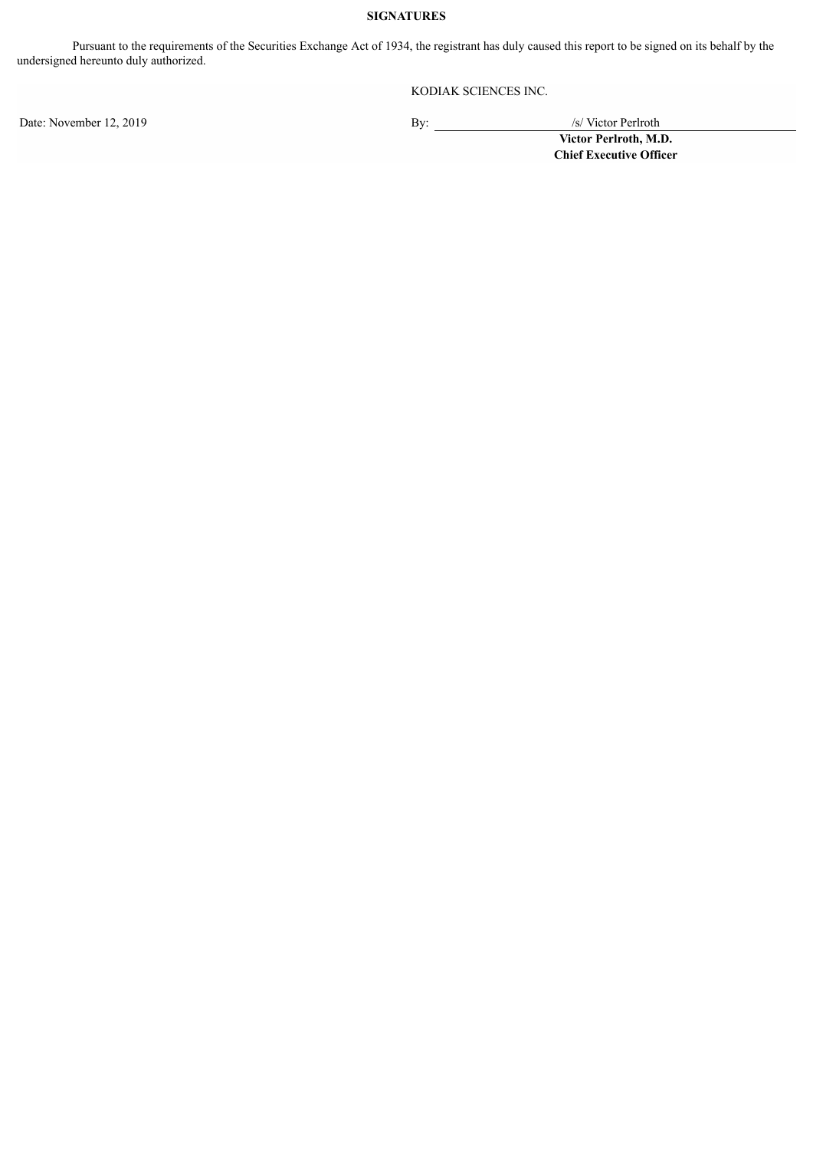# **SIGNATURES**

Pursuant to the requirements of the Securities Exchange Act of 1934, the registrant has duly caused this report to be signed on its behalf by the undersigned hereunto duly authorized.

KODIAK SCIENCES INC.

Date: November 12, 2019 By:

**Victor Perlroth, M.D. Chief Executive Officer**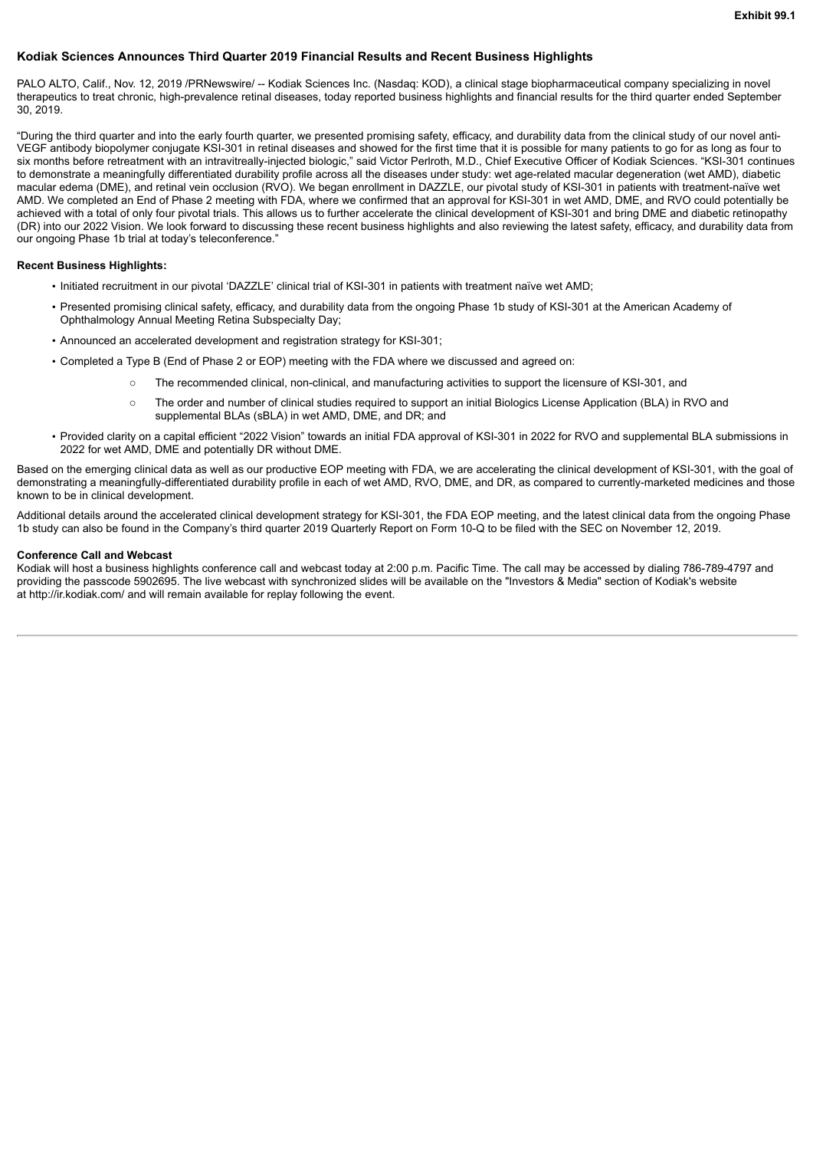## <span id="page-3-0"></span>**Kodiak Sciences Announces Third Quarter 2019 Financial Results and Recent Business Highlights**

PALO ALTO, Calif., Nov. 12, 2019 /PRNewswire/ -- Kodiak Sciences Inc. (Nasdaq: KOD), a clinical stage biopharmaceutical company specializing in novel therapeutics to treat chronic, high-prevalence retinal diseases, today reported business highlights and financial results for the third quarter ended September 30, 2019.

"During the third quarter and into the early fourth quarter, we presented promising safety, efficacy, and durability data from the clinical study of our novel anti-VEGF antibody biopolymer conjugate KSI-301 in retinal diseases and showed for the first time that it is possible for many patients to go for as long as four to six months before retreatment with an intravitreally-injected biologic," said Victor Perlroth, M.D., Chief Executive Officer of Kodiak Sciences. "KSI-301 continues to demonstrate a meaningfully differentiated durability profile across all the diseases under study: wet age-related macular degeneration (wet AMD), diabetic macular edema (DME), and retinal vein occlusion (RVO). We began enrollment in DAZZLE, our pivotal study of KSI-301 in patients with treatment-naïve wet AMD. We completed an End of Phase 2 meeting with FDA, where we confirmed that an approval for KSI-301 in wet AMD, DME, and RVO could potentially be achieved with a total of only four pivotal trials. This allows us to further accelerate the clinical development of KSI-301 and bring DME and diabetic retinopathy (DR) into our 2022 Vision. We look forward to discussing these recent business highlights and also reviewing the latest safety, efficacy, and durability data from our ongoing Phase 1b trial at today's teleconference.'

#### **Recent Business Highlights:**

- Initiated recruitment in our pivotal 'DAZZLE' clinical trial of KSI-301 in patients with treatment naïve wet AMD;
- Presented promising clinical safety, efficacy, and durability data from the ongoing Phase 1b study of KSI-301 at the American Academy of Ophthalmology Annual Meeting Retina Subspecialty Day;
- Announced an accelerated development and registration strategy for KSI-301;
- Completed a Type B (End of Phase 2 or EOP) meeting with the FDA where we discussed and agreed on:
	- The recommended clinical, non-clinical, and manufacturing activities to support the licensure of KSI-301, and
	- o The order and number of clinical studies required to support an initial Biologics License Application (BLA) in RVO and supplemental BLAs (sBLA) in wet AMD, DME, and DR; and
- Provided clarity on a capital efficient "2022 Vision" towards an initial FDA approval of KSI-301 in 2022 for RVO and supplemental BLA submissions in 2022 for wet AMD, DME and potentially DR without DME.

Based on the emerging clinical data as well as our productive EOP meeting with FDA, we are accelerating the clinical development of KSI-301, with the goal of demonstrating a meaningfully-differentiated durability profile in each of wet AMD, RVO, DME, and DR, as compared to currently-marketed medicines and those known to be in clinical development.

Additional details around the accelerated clinical development strategy for KSI-301, the FDA EOP meeting, and the latest clinical data from the ongoing Phase 1b study can also be found in the Company's third quarter 2019 Quarterly Report on Form 10-Q to be filed with the SEC on November 12, 2019.

#### **Conference Call and Webcast**

Kodiak will host a business highlights conference call and webcast today at 2:00 p.m. Pacific Time. The call may be accessed by dialing 786-789-4797 and providing the passcode 5902695. The live webcast with synchronized slides will be available on the "Investors & Media" section of Kodiak's website at http://ir.kodiak.com/ and will remain available for replay following the event.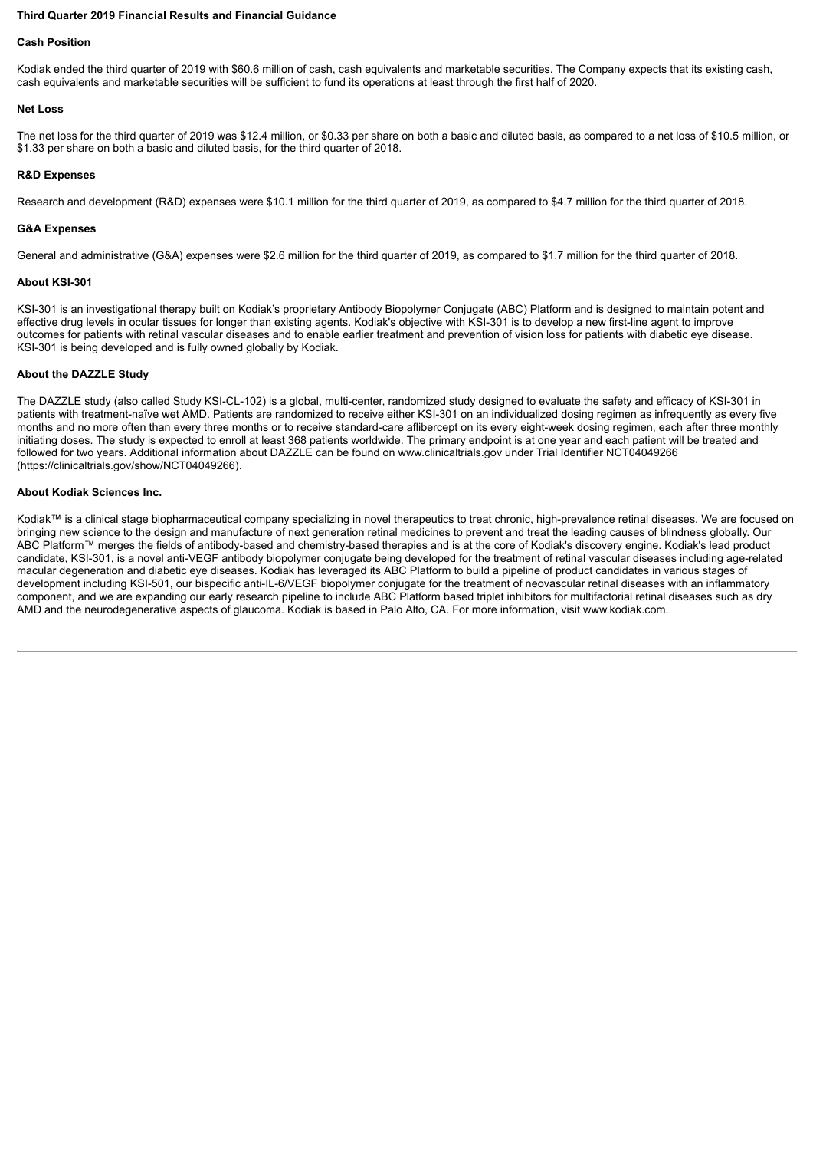#### **Third Quarter 2019 Financial Results and Financial Guidance**

# **Cash Position**

Kodiak ended the third quarter of 2019 with \$60.6 million of cash, cash equivalents and marketable securities. The Company expects that its existing cash, cash equivalents and marketable securities will be sufficient to fund its operations at least through the first half of 2020.

#### **Net Loss**

The net loss for the third quarter of 2019 was \$12.4 million, or \$0.33 per share on both a basic and diluted basis, as compared to a net loss of \$10.5 million, or \$1.33 per share on both a basic and diluted basis, for the third quarter of 2018.

#### **R&D Expenses**

Research and development (R&D) expenses were \$10.1 million for the third quarter of 2019, as compared to \$4.7 million for the third quarter of 2018.

#### **G&A Expenses**

General and administrative (G&A) expenses were \$2.6 million for the third quarter of 2019, as compared to \$1.7 million for the third quarter of 2018.

#### **About KSI-301**

KSI-301 is an investigational therapy built on Kodiak's proprietary Antibody Biopolymer Conjugate (ABC) Platform and is designed to maintain potent and effective drug levels in ocular tissues for longer than existing agents. Kodiak's objective with KSI-301 is to develop a new first-line agent to improve outcomes for patients with retinal vascular diseases and to enable earlier treatment and prevention of vision loss for patients with diabetic eye disease. KSI-301 is being developed and is fully owned globally by Kodiak.

## **About the DAZZLE Study**

The DAZZLE study (also called Study KSI-CL-102) is a global, multi-center, randomized study designed to evaluate the safety and efficacy of KSI-301 in patients with treatment-naïve wet AMD. Patients are randomized to receive either KSI-301 on an individualized dosing regimen as infrequently as every five months and no more often than every three months or to receive standard-care aflibercept on its every eight-week dosing regimen, each after three monthly initiating doses. The study is expected to enroll at least 368 patients worldwide. The primary endpoint is at one year and each patient will be treated and followed for two years. Additional information about DAZZLE can be found on www.clinicaltrials.gov under Trial Identifier NCT04049266 (https://clinicaltrials.gov/show/NCT04049266).

#### **About Kodiak Sciences Inc.**

Kodiak™ is a clinical stage biopharmaceutical company specializing in novel therapeutics to treat chronic, high-prevalence retinal diseases. We are focused on bringing new science to the design and manufacture of next generation retinal medicines to prevent and treat the leading causes of blindness globally. Our ABC Platform™ merges the fields of antibody-based and chemistry-based therapies and is at the core of Kodiak's discovery engine. Kodiak's lead product candidate, KSI-301, is a novel anti-VEGF antibody biopolymer conjugate being developed for the treatment of retinal vascular diseases including age-related macular degeneration and diabetic eye diseases. Kodiak has leveraged its ABC Platform to build a pipeline of product candidates in various stages of development including KSI-501, our bispecific anti-IL-6/VEGF biopolymer conjugate for the treatment of neovascular retinal diseases with an inflammatory component, and we are expanding our early research pipeline to include ABC Platform based triplet inhibitors for multifactorial retinal diseases such as dry AMD and the neurodegenerative aspects of glaucoma. Kodiak is based in Palo Alto, CA. For more information, visit www.kodiak.com.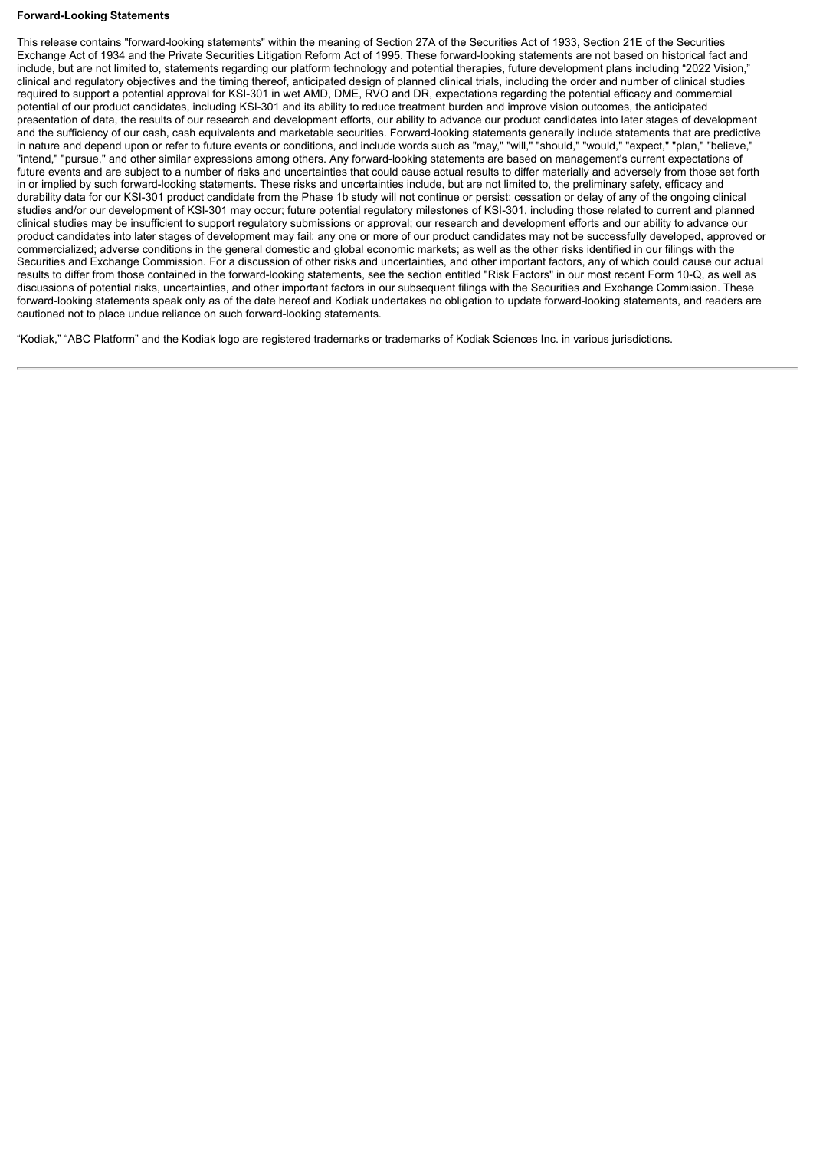#### **Forward-Looking Statements**

This release contains "forward-looking statements" within the meaning of Section 27A of the Securities Act of 1933, Section 21E of the Securities Exchange Act of 1934 and the Private Securities Litigation Reform Act of 1995. These forward-looking statements are not based on historical fact and include, but are not limited to, statements regarding our platform technology and potential therapies, future development plans including "2022 Vision," clinical and regulatory objectives and the timing thereof, anticipated design of planned clinical trials, including the order and number of clinical studies required to support a potential approval for KSI-301 in wet AMD, DME, RVO and DR, expectations regarding the potential efficacy and commercial potential of our product candidates, including KSI-301 and its ability to reduce treatment burden and improve vision outcomes, the anticipated presentation of data, the results of our research and development efforts, our ability to advance our product candidates into later stages of development and the sufficiency of our cash, cash equivalents and marketable securities. Forward-looking statements generally include statements that are predictive in nature and depend upon or refer to future events or conditions, and include words such as "may," "will," "should," "would," "expect," "plan," "believe," "intend," "pursue," and other similar expressions among others. Any forward-looking statements are based on management's current expectations of future events and are subject to a number of risks and uncertainties that could cause actual results to differ materially and adversely from those set forth in or implied by such forward-looking statements. These risks and uncertainties include, but are not limited to, the preliminary safety, efficacy and durability data for our KSI-301 product candidate from the Phase 1b study will not continue or persist; cessation or delay of any of the ongoing clinical studies and/or our development of KSI-301 may occur; future potential regulatory milestones of KSI-301, including those related to current and planned clinical studies may be insufficient to support regulatory submissions or approval; our research and development efforts and our ability to advance our product candidates into later stages of development may fail; any one or more of our product candidates may not be successfully developed, approved or commercialized; adverse conditions in the general domestic and global economic markets; as well as the other risks identified in our filings with the Securities and Exchange Commission. For a discussion of other risks and uncertainties, and other important factors, any of which could cause our actual results to differ from those contained in the forward-looking statements, see the section entitled "Risk Factors" in our most recent Form 10-Q, as well as discussions of potential risks, uncertainties, and other important factors in our subsequent filings with the Securities and Exchange Commission. These forward-looking statements speak only as of the date hereof and Kodiak undertakes no obligation to update forward-looking statements, and readers are cautioned not to place undue reliance on such forward-looking statements.

"Kodiak," "ABC Platform" and the Kodiak logo are registered trademarks or trademarks of Kodiak Sciences Inc. in various jurisdictions.